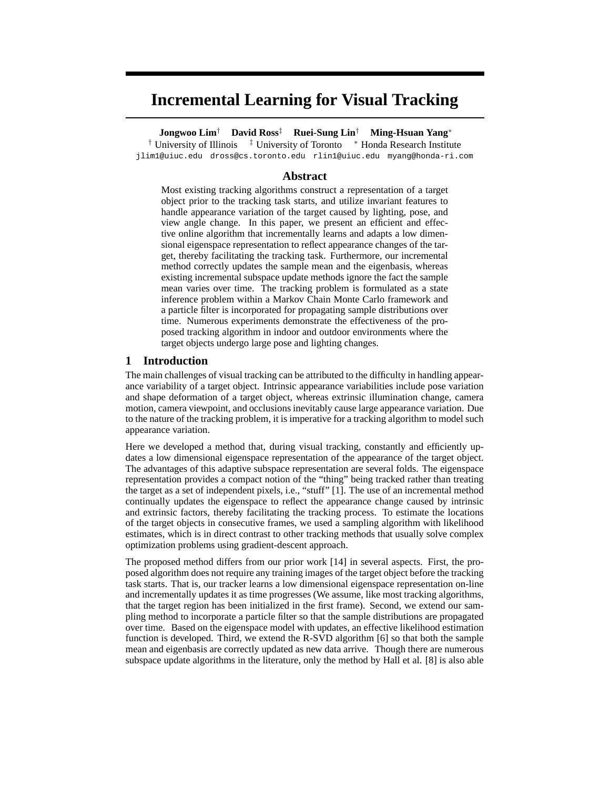# **Incremental Learning for Visual Tracking**

**Jongwoo Lim**† **David Ross**‡ **Ruei-Sung Lin**† **Ming-Hsuan Yang**<sup>∗</sup>

† University of Illinois <sup>‡</sup> University of Toronto <sup>∗</sup> Honda Research Institute jlim1@uiuc.edu dross@cs.toronto.edu rlin1@uiuc.edu myang@honda-ri.com

# **Abstract**

Most existing tracking algorithms construct a representation of a target object prior to the tracking task starts, and utilize invariant features to handle appearance variation of the target caused by lighting, pose, and view angle change. In this paper, we present an efficient and effective online algorithm that incrementally learns and adapts a low dimensional eigenspace representation to reflect appearance changes of the target, thereby facilitating the tracking task. Furthermore, our incremental method correctly updates the sample mean and the eigenbasis, whereas existing incremental subspace update methods ignore the fact the sample mean varies over time. The tracking problem is formulated as a state inference problem within a Markov Chain Monte Carlo framework and a particle filter is incorporated for propagating sample distributions over time. Numerous experiments demonstrate the effectiveness of the proposed tracking algorithm in indoor and outdoor environments where the target objects undergo large pose and lighting changes.

# **1 Introduction**

The main challenges of visual tracking can be attributed to the difficulty in handling appearance variability of a target object. Intrinsic appearance variabilities include pose variation and shape deformation of a target object, whereas extrinsic illumination change, camera motion, camera viewpoint, and occlusions inevitably cause large appearance variation. Due to the nature of the tracking problem, it is imperative for a tracking algorithm to model such appearance variation.

Here we developed a method that, during visual tracking, constantly and efficiently updates a low dimensional eigenspace representation of the appearance of the target object. The advantages of this adaptive subspace representation are several folds. The eigenspace representation provides a compact notion of the "thing" being tracked rather than treating the target as a set of independent pixels, i.e., "stuff" [1]. The use of an incremental method continually updates the eigenspace to reflect the appearance change caused by intrinsic and extrinsic factors, thereby facilitating the tracking process. To estimate the locations of the target objects in consecutive frames, we used a sampling algorithm with likelihood estimates, which is in direct contrast to other tracking methods that usually solve complex optimization problems using gradient-descent approach.

The proposed method differs from our prior work [14] in several aspects. First, the proposed algorithm does not require any training images of the target object before the tracking task starts. That is, our tracker learns a low dimensional eigenspace representation on-line and incrementally updates it as time progresses (We assume, like most tracking algorithms, that the target region has been initialized in the first frame). Second, we extend our sampling method to incorporate a particle filter so that the sample distributions are propagated over time. Based on the eigenspace model with updates, an effective likelihood estimation function is developed. Third, we extend the R-SVD algorithm [6] so that both the sample mean and eigenbasis are correctly updated as new data arrive. Though there are numerous subspace update algorithms in the literature, only the method by Hall et al. [8] is also able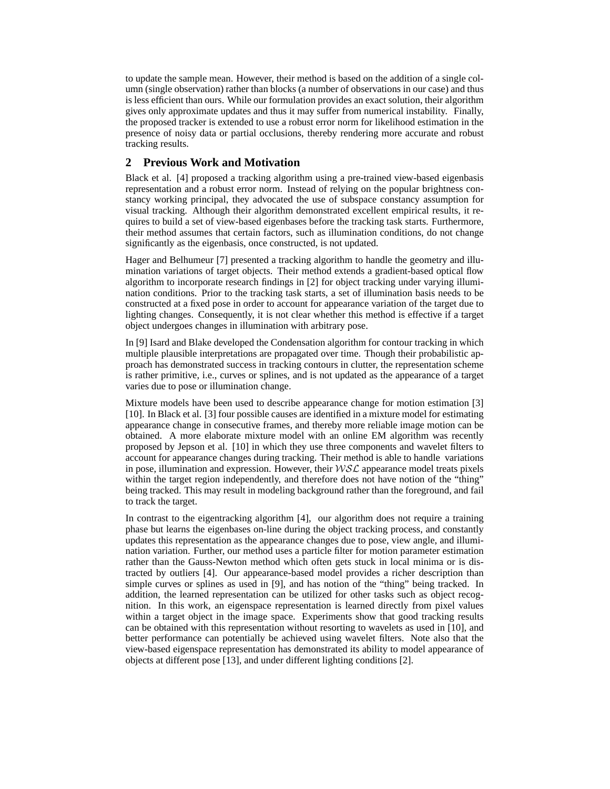to update the sample mean. However, their method is based on the addition of a single column (single observation) rather than blocks (a number of observations in our case) and thus is less efficient than ours. While our formulation provides an exact solution, their algorithm gives only approximate updates and thus it may suffer from numerical instability. Finally, the proposed tracker is extended to use a robust error norm for likelihood estimation in the presence of noisy data or partial occlusions, thereby rendering more accurate and robust tracking results.

# **2 Previous Work and Motivation**

Black et al. [4] proposed a tracking algorithm using a pre-trained view-based eigenbasis representation and a robust error norm. Instead of relying on the popular brightness constancy working principal, they advocated the use of subspace constancy assumption for visual tracking. Although their algorithm demonstrated excellent empirical results, it requires to build a set of view-based eigenbases before the tracking task starts. Furthermore, their method assumes that certain factors, such as illumination conditions, do not change significantly as the eigenbasis, once constructed, is not updated.

Hager and Belhumeur [7] presented a tracking algorithm to handle the geometry and illumination variations of target objects. Their method extends a gradient-based optical flow algorithm to incorporate research findings in [2] for object tracking under varying illumination conditions. Prior to the tracking task starts, a set of illumination basis needs to be constructed at a fixed pose in order to account for appearance variation of the target due to lighting changes. Consequently, it is not clear whether this method is effective if a target object undergoes changes in illumination with arbitrary pose.

In [9] Isard and Blake developed the Condensation algorithm for contour tracking in which multiple plausible interpretations are propagated over time. Though their probabilistic approach has demonstrated success in tracking contours in clutter, the representation scheme is rather primitive, i.e., curves or splines, and is not updated as the appearance of a target varies due to pose or illumination change.

Mixture models have been used to describe appearance change for motion estimation [3] [10]. In Black et al. [3] four possible causes are identified in a mixture model for estimating appearance change in consecutive frames, and thereby more reliable image motion can be obtained. A more elaborate mixture model with an online EM algorithm was recently proposed by Jepson et al. [10] in which they use three components and wavelet filters to account for appearance changes during tracking. Their method is able to handle variations in pose, illumination and expression. However, their  $WSL$  appearance model treats pixels within the target region independently, and therefore does not have notion of the "thing" being tracked. This may result in modeling background rather than the foreground, and fail to track the target.

In contrast to the eigentracking algorithm [4], our algorithm does not require a training phase but learns the eigenbases on-line during the object tracking process, and constantly updates this representation as the appearance changes due to pose, view angle, and illumination variation. Further, our method uses a particle filter for motion parameter estimation rather than the Gauss-Newton method which often gets stuck in local minima or is distracted by outliers [4]. Our appearance-based model provides a richer description than simple curves or splines as used in [9], and has notion of the "thing" being tracked. In addition, the learned representation can be utilized for other tasks such as object recognition. In this work, an eigenspace representation is learned directly from pixel values within a target object in the image space. Experiments show that good tracking results can be obtained with this representation without resorting to wavelets as used in [10], and better performance can potentially be achieved using wavelet filters. Note also that the view-based eigenspace representation has demonstrated its ability to model appearance of objects at different pose [13], and under different lighting conditions [2].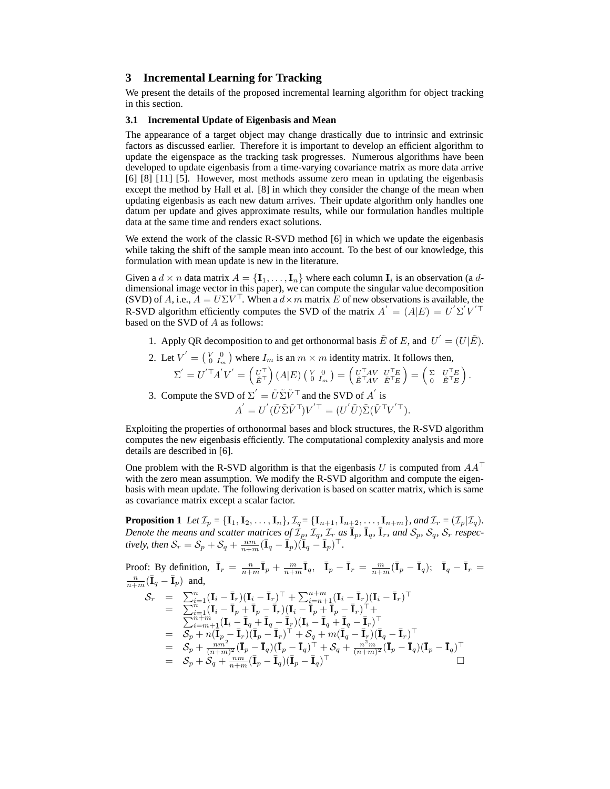# **3 Incremental Learning for Tracking**

We present the details of the proposed incremental learning algorithm for object tracking in this section.

#### **3.1 Incremental Update of Eigenbasis and Mean**

The appearance of a target object may change drastically due to intrinsic and extrinsic factors as discussed earlier. Therefore it is important to develop an efficient algorithm to update the eigenspace as the tracking task progresses. Numerous algorithms have been developed to update eigenbasis from a time-varying covariance matrix as more data arrive [6] [8] [11] [5]. However, most methods assume zero mean in updating the eigenbasis except the method by Hall et al. [8] in which they consider the change of the mean when updating eigenbasis as each new datum arrives. Their update algorithm only handles one datum per update and gives approximate results, while our formulation handles multiple data at the same time and renders exact solutions.

We extend the work of the classic R-SVD method [6] in which we update the eigenbasis while taking the shift of the sample mean into account. To the best of our knowledge, this formulation with mean update is new in the literature.

Given a  $d \times n$  data matrix  $A = {\mathbf{I}_1, \dots, \mathbf{I}_n}$  where each column  $\mathbf{I}_i$  is an observation (a ddimensional image vector in this paper), we can compute the singular value decomposition (SVD) of A, i.e.,  $A = U\Sigma V^{\top}$ . When a  $d \times m$  matrix E of new observations is available, the R-SVD algorithm efficiently computes the SVD of the matrix  $A^{'} = (A|E) = U^{'}\Sigma^{'}V^{'}\top$ based on the SVD of A as follows:

1. Apply QR decomposition to and get orthonormal basis  $\tilde{E}$  of E, and  $U^{'} = (U | \tilde{E})$ .

2. Let 
$$
V' = \begin{pmatrix} V & 0 \\ 0 & I_m \end{pmatrix}
$$
 where  $I_m$  is an  $m \times m$  identity matrix. It follows then,  
\n
$$
\Sigma' = U'^{\top} A' V' = \begin{pmatrix} U^{\top} \\ \tilde{E}^{\top} \end{pmatrix} (A|E) \begin{pmatrix} V & 0 \\ 0 & I_m \end{pmatrix} = \begin{pmatrix} U^{\top} A V & U^{\top} E \\ \tilde{E}^{\top} A V & \tilde{E}^{\top} E \end{pmatrix} = \begin{pmatrix} \Sigma & U^{\top} E \\ 0 & \tilde{E}^{\top} E \end{pmatrix}.
$$

3. Compute the SVD of 
$$
\Sigma' = \tilde{U}\tilde{\Sigma}\tilde{V}^{\top}
$$
 and the SVD of A' is  
\n
$$
A' = U'(\tilde{U}\tilde{\Sigma}\tilde{V}^{\top})V'^{\top} = (U'\tilde{U})\tilde{\Sigma}(\tilde{V}^{\top}V'^{\top}).
$$

Exploiting the properties of orthonormal bases and block structures, the R-SVD algorithm computes the new eigenbasis efficiently. The computational complexity analysis and more details are described in [6].

One problem with the R-SVD algorithm is that the eigenbasis U is computed from  $AA^{\top}$ with the zero mean assumption. We modify the R-SVD algorithm and compute the eigenbasis with mean update. The following derivation is based on scatter matrix, which is same as covariance matrix except a scalar factor.

**Proposition 1** Let  $\mathcal{I}_p = {\mathbf{I}_1, \mathbf{I}_2, ..., \mathbf{I}_n}$ ,  $\mathcal{I}_q = {\mathbf{I}_{n+1}, \mathbf{I}_{n+2}, ..., \mathbf{I}_{n+m}}$ *, and*  $\mathcal{I}_r = (\mathcal{I}_p | \mathcal{I}_q)$ *. Denote the means and scatter matrices of*  $\mathcal{I}_p$ ,  $\mathcal{I}_q$ ,  $\mathcal{I}_r$  *as*  $\bar{\mathbf{I}}_p$ ,  $\bar{\mathbf{I}}_q$ ,  $\bar{\mathbf{I}}_r$ , *and*  $\mathcal{S}_p$ ,  $\mathcal{S}_q$ ,  $\mathcal{S}_r$  *respec*tively, then  $S_r = S_p + S_q + \frac{nm}{n+m} (\bar{\mathbf{I}}_q - \bar{\mathbf{I}}_p)(\bar{\mathbf{I}}_q - \bar{\mathbf{I}}_p)^\top$ .

Proof: By definition,  $\bar{\mathbf{I}}_r = \frac{n}{n+m} \bar{\mathbf{I}}_p + \frac{m}{n+m} \bar{\mathbf{I}}_q$ ,  $\bar{\mathbf{I}}_p - \bar{\mathbf{I}}_r = \frac{m}{n+m} (\bar{\mathbf{I}}_p - \bar{\mathbf{I}}_q)$ ;  $\bar{\mathbf{I}}_q - \bar{\mathbf{I}}_r =$  $\frac{n}{n+m}(\bar{\bf I}_q - \bar{\bf I}_p)$  and,  $\mathcal{S}_r \quad = \quad \sum_{i=1}^n (\mathbf{I}_i - \bar{\mathbf{I}}_r)(\mathbf{I}_i - \bar{\mathbf{I}}_r)^\top + \sum_{i=n+1}^{n+m} (\mathbf{I}_i - \bar{\mathbf{I}}_r)(\mathbf{I}_i - \bar{\mathbf{I}}_r)^\top$  $=\quad \overline{\sum}_{i=1}^{n-1}(\mathbf{I}_i-\bar{\mathbf{I}}_p+\bar{\mathbf{I}}_p-\bar{\mathbf{I}}_r)(\mathbf{I}_i-\bar{\mathbf{I}}_p+\bar{\mathbf{I}}_p-\bar{\mathbf{I}}_r)$  $\sum$  $\begin{array}{l} \bar{n}_{i=1}(\mathbf{I}_{i}-\bar{\mathbf{I}}_{p}+\bar{\mathbf{I}}_{p}-\bar{\mathbf{I}}_{r})(\mathbf{I}_{i}-\bar{\mathbf{I}}_{p}+\bar{\mathbf{I}}_{p}-\bar{\mathbf{I}}_{r})^{\top}+ \ \bar{n}_{i}=m+1}(\mathbf{I}_{i}-\bar{\mathbf{I}}_{q}+\bar{\mathbf{I}}_{q}-\bar{\mathbf{I}}_{r})(\mathbf{I}_{i}-\bar{\mathbf{I}}_{q}+\bar{\mathbf{I}}_{q}-\bar{\mathbf{I}}_{r})^{\top} \end{array}$  $=\quad \overline{\mathcal{S}_p} + n(\bar{\bar{\mathbf{I}}}_p - \bar{\mathbf{I}}_r)(\bar{\mathbf{I}}_p - \bar{\mathbf{I}}_r)^\top + \mathcal{S}_q + m(\bar{\mathbf{I}}_q - \bar{\mathbf{I}}_r)(\bar{\mathbf{I}}_q - \bar{\mathbf{I}}_r)^\top$  $= \quad \mathcal{S}^{'}_{p}+ \frac{n m^{2}}{(n+m)^{2}}(\bar{\textbf{I}}^{'}_{p} - \bar{\textbf{I}}_{q})(\bar{\textbf{I}}^{'}_{p} - \bar{\textbf{I}}_{q})^{\bar{\top}} + \mathcal{S}^{'}_{q} + \frac{n^{2}m}{(n+m)^{2}}(\bar{\textbf{I}}^{ }_{p} - \bar{\textbf{I}}_{q})(\bar{\textbf{I}}^{ }_{p} - \bar{\textbf{I}}_{q})^{\top}$  $= S_p + S_q + \frac{nm}{n+m} (\bar{\mathbf{I}}_p - \bar{\mathbf{I}}_q)(\bar{\mathbf{I}}_p - \bar{\mathbf{I}}_q)^\top$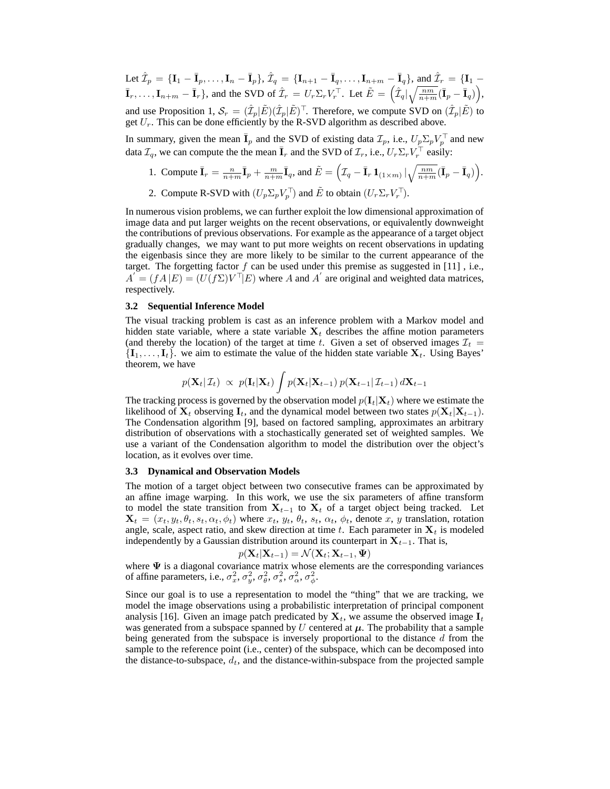Let  $\hat{\mathcal{I}}_p = {\{\mathbf{I}_1 - \bar{\mathbf{I}}_p, \dots, \mathbf{I}_n - \bar{\mathbf{I}}_p\}}, \hat{\mathcal{I}}_q = {\{\mathbf{I}_{n+1} - \bar{\mathbf{I}}_q, \dots, \mathbf{I}_{n+m} - \bar{\mathbf{I}}_q\}}, \text{ and } \hat{\mathcal{I}}_r = {\{\mathbf{I}_1 - \bar{\mathbf{I}}_q, \dots, \mathbf{I}_{n+m} - \bar{\mathbf{I}}_q\}}$  $\bar{\mathbf{I}}_r, \ldots, \mathbf{I}_{n+m} - \bar{\mathbf{I}}_r\},$  and the SVD of  $\hat{\mathcal{I}}_r = U_r \Sigma_r V_r^{\top}$ . Let  $\tilde{E} = \left(\hat{\mathcal{I}}_q \middle| \sqrt{\frac{nm}{n+m}} (\bar{\mathbf{I}}_p - \bar{\mathbf{I}}_q) \right)$ , and use Proposition 1,  $S_r = (\hat{\mathcal{I}}_p | \tilde{E})(\hat{\mathcal{I}}_p | \tilde{E})^\top$ . Therefore, we compute SVD on  $(\hat{\mathcal{I}}_p | \tilde{E})$  to

get  $U_r$ . This can be done efficiently by the R-SVD algorithm as described above.

In summary, given the mean  $\bar{I}_p$  and the SVD of existing data  $\mathcal{I}_p$ , i.e.,  $U_p \Sigma_p V_p^{\top}$  and new data  $\mathcal{I}_q$ , we can compute the the mean  $\bar{I}_r$  and the SVD of  $\mathcal{I}_r$ , i.e.,  $U_r \Sigma_r V_r^{\top}$  easily:

- 1. Compute  $\bar{\mathbf{I}}_r = \frac{n}{n+m} \bar{\mathbf{I}}_p + \frac{m}{n+m} \bar{\mathbf{I}}_q$ , and  $\tilde{E} = \left( \mathcal{I}_q \bar{\mathbf{I}}_r \mathbf{1}_{(1 \times m)} | \sqrt{\frac{nm}{n+m}} (\bar{\mathbf{I}}_p \bar{\mathbf{I}}_q) \right)$ .
- 2. Compute R-SVD with  $(U_p \Sigma_p V_p^{\top})$  and  $\tilde{E}$  to obtain  $(U_r \Sigma_r V_r^{\top})$ .

In numerous vision problems, we can further exploit the low dimensional approximation of image data and put larger weights on the recent observations, or equivalently downweight the contributions of previous observations. For example as the appearance of a target object gradually changes, we may want to put more weights on recent observations in updating the eigenbasis since they are more likely to be similar to the current appearance of the target. The forgetting factor  $f$  can be used under this premise as suggested in [11], i.e.,  $A = (fA | E) = (U(f\Sigma)V^\top | E)$  where A and A' are original and weighted data matrices, respectively.

#### **3.2 Sequential Inference Model**

The visual tracking problem is cast as an inference problem with a Markov model and hidden state variable, where a state variable  $X_t$  describes the affine motion parameters (and thereby the location) of the target at time t. Given a set of observed images  $\mathcal{I}_t$  =  $\{I_1, \ldots, I_t\}$ . we aim to estimate the value of the hidden state variable  $X_t$ . Using Bayes' theorem, we have

$$
p(\mathbf{X}_t|\mathcal{I}_t) \propto p(\mathbf{I}_t|\mathbf{X}_t) \int p(\mathbf{X}_t|\mathbf{X}_{t-1}) p(\mathbf{X}_{t-1}|\mathcal{I}_{t-1}) d\mathbf{X}_{t-1}
$$

The tracking process is governed by the observation model  $p(\mathbf{I}_t|\mathbf{X}_t)$  where we estimate the likelihood of  $X_t$  observing  $I_t$ , and the dynamical model between two states  $p(X_t|X_{t-1})$ . The Condensation algorithm [9], based on factored sampling, approximates an arbitrary distribution of observations with a stochastically generated set of weighted samples. We use a variant of the Condensation algorithm to model the distribution over the object's location, as it evolves over time.

#### **3.3 Dynamical and Observation Models**

The motion of a target object between two consecutive frames can be approximated by an affine image warping. In this work, we use the six parameters of affine transform to model the state transition from  $X_{t-1}$  to  $X_t$  of a target object being tracked. Let  $\mathbf{X}_t = (x_t, y_t, \theta_t, s_t, \alpha_t, \phi_t)$  where  $x_t, y_t, \theta_t, s_t, \alpha_t, \phi_t$ , denote x, y translation, rotation angle, scale, aspect ratio, and skew direction at time t. Each parameter in  $X_t$  is modeled independently by a Gaussian distribution around its counterpart in  $X_{t-1}$ . That is,

$$
p(\mathbf{X}_t|\mathbf{X}_{t-1}) = \mathcal{N}(\mathbf{X}_t;\mathbf{X}_{t-1},\boldsymbol{\Psi})
$$

where  $\Psi$  is a diagonal covariance matrix whose elements are the corresponding variances of affine parameters, i.e.,  $\sigma_x^2$ ,  $\sigma_y^2$ ,  $\sigma_\theta^2$ ,  $\sigma_s^2$ ,  $\sigma_\alpha^2$ ,  $\sigma_\phi^2$ .

Since our goal is to use a representation to model the "thing" that we are tracking, we model the image observations using a probabilistic interpretation of principal component analysis [16]. Given an image patch predicated by  $X_t$ , we assume the observed image  $I_t$ was generated from a subspace spanned by U centered at  $\mu$ . The probability that a sample being generated from the subspace is inversely proportional to the distance d from the sample to the reference point (i.e., center) of the subspace, which can be decomposed into the distance-to-subspace,  $d_t$ , and the distance-within-subspace from the projected sample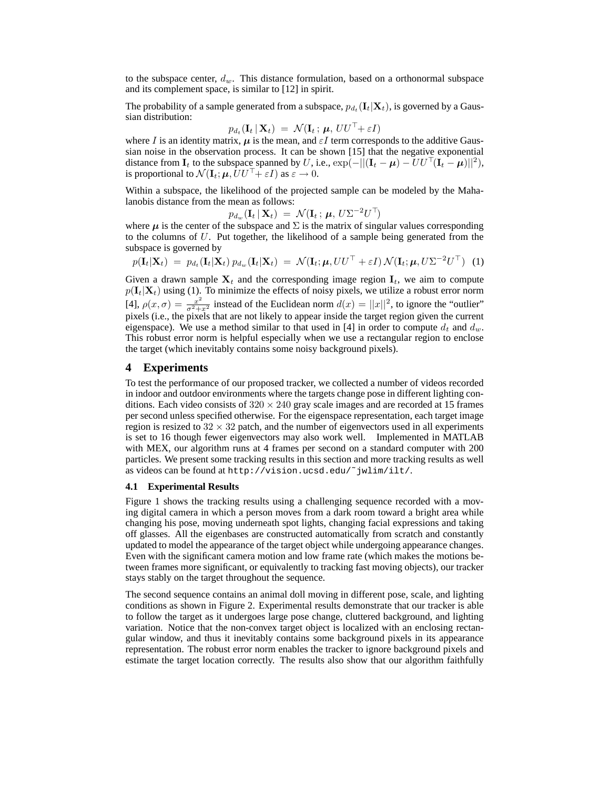to the subspace center,  $d_w$ . This distance formulation, based on a orthonormal subspace and its complement space, is similar to [12] in spirit.

The probability of a sample generated from a subspace,  $p_{d_t}(\mathbf{I}_t|\mathbf{X}_t)$ , is governed by a Gaussian distribution:

$$
p_{d_t}(\mathbf{I}_t | \mathbf{X}_t) = \mathcal{N}(\mathbf{I}_t; \boldsymbol{\mu}, \mathit{UU}^\top + \varepsilon I)
$$

where I is an identity matrix,  $\mu$  is the mean, and  $\varepsilon I$  term corresponds to the additive Gaussian noise in the observation process. It can be shown [15] that the negative exponential distance from  $\mathbf{I}_t$  to the subspace spanned by U, i.e.,  $\exp(-||(\mathbf{I}_t - \boldsymbol{\mu}) - U U^\top (\mathbf{I}_t - \boldsymbol{\mu})||^2)$ , is proportional to  $\mathcal{N}(\mathbf{I}_t; \boldsymbol{\mu}, U U^{\top} + \varepsilon I)$  as  $\varepsilon \to 0$ .

Within a subspace, the likelihood of the projected sample can be modeled by the Mahalanobis distance from the mean as follows:

$$
p_{d_w}(\mathbf{I}_t | \mathbf{X}_t) = \mathcal{N}(\mathbf{I}_t; \boldsymbol{\mu}, U \Sigma^{-2} U^\top)
$$

where  $\mu$  is the center of the subspace and  $\Sigma$  is the matrix of singular values corresponding to the columns of  $U$ . Put together, the likelihood of a sample being generated from the subspace is governed by

$$
p(\mathbf{I}_t|\mathbf{X}_t) = p_{d_t}(\mathbf{I}_t|\mathbf{X}_t) p_{d_w}(\mathbf{I}_t|\mathbf{X}_t) = \mathcal{N}(\mathbf{I}_t; \boldsymbol{\mu}, U U^\top + \varepsilon I) \mathcal{N}(\mathbf{I}_t; \boldsymbol{\mu}, U \Sigma^{-2} U^\top) \tag{1}
$$

Given a drawn sample  $X_t$  and the corresponding image region  $I_t$ , we aim to compute  $p(\mathbf{I}_t|\mathbf{X}_t)$  using (1). To minimize the effects of noisy pixels, we utilize a robust error norm [4],  $\rho(x,\sigma) = \frac{x^2}{\sigma^2 + x^2}$  instead of the Euclidean norm  $d(x) = ||x||^2$ , to ignore the "outlier" pixels (i.e., the pixels that are not likely to appear inside the target region given the current eigenspace). We use a method similar to that used in [4] in order to compute  $d_t$  and  $d_w$ . This robust error norm is helpful especially when we use a rectangular region to enclose the target (which inevitably contains some noisy background pixels).

## **4 Experiments**

To test the performance of our proposed tracker, we collected a number of videos recorded in indoor and outdoor environments where the targets change pose in different lighting conditions. Each video consists of  $320 \times 240$  gray scale images and are recorded at 15 frames per second unless specified otherwise. For the eigenspace representation, each target image region is resized to  $32 \times 32$  patch, and the number of eigenvectors used in all experiments is set to 16 though fewer eigenvectors may also work well. Implemented in MATLAB with MEX, our algorithm runs at 4 frames per second on a standard computer with 200 particles. We present some tracking results in this section and more tracking results as well as videos can be found at http://vision.ucsd.edu/˜jwlim/ilt/.

#### **4.1 Experimental Results**

Figure 1 shows the tracking results using a challenging sequence recorded with a moving digital camera in which a person moves from a dark room toward a bright area while changing his pose, moving underneath spot lights, changing facial expressions and taking off glasses. All the eigenbases are constructed automatically from scratch and constantly updated to model the appearance of the target object while undergoing appearance changes. Even with the significant camera motion and low frame rate (which makes the motions between frames more significant, or equivalently to tracking fast moving objects), our tracker stays stably on the target throughout the sequence.

The second sequence contains an animal doll moving in different pose, scale, and lighting conditions as shown in Figure 2. Experimental results demonstrate that our tracker is able to follow the target as it undergoes large pose change, cluttered background, and lighting variation. Notice that the non-convex target object is localized with an enclosing rectangular window, and thus it inevitably contains some background pixels in its appearance representation. The robust error norm enables the tracker to ignore background pixels and estimate the target location correctly. The results also show that our algorithm faithfully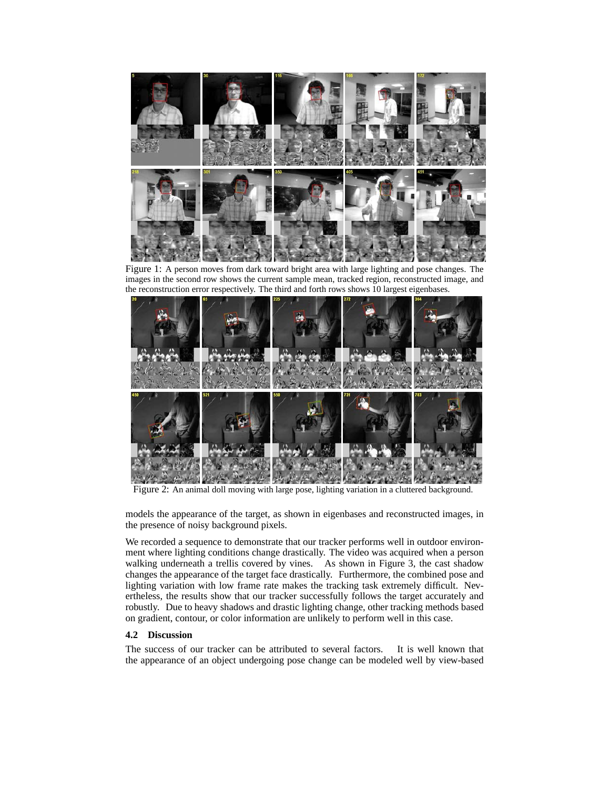

Figure 1: A person moves from dark toward bright area with large lighting and pose changes. The images in the second row shows the current sample mean, tracked region, reconstructed image, and the reconstruction error respectively. The third and forth rows shows 10 largest eigenbases.



Figure 2: An animal doll moving with large pose, lighting variation in a cluttered background.

models the appearance of the target, as shown in eigenbases and reconstructed images, in the presence of noisy background pixels.

We recorded a sequence to demonstrate that our tracker performs well in outdoor environment where lighting conditions change drastically. The video was acquired when a person walking underneath a trellis covered by vines. As shown in Figure 3, the cast shadow changes the appearance of the target face drastically. Furthermore, the combined pose and lighting variation with low frame rate makes the tracking task extremely difficult. Nevertheless, the results show that our tracker successfully follows the target accurately and robustly. Due to heavy shadows and drastic lighting change, other tracking methods based on gradient, contour, or color information are unlikely to perform well in this case.

## **4.2 Discussion**

The success of our tracker can be attributed to several factors. It is well known that the appearance of an object undergoing pose change can be modeled well by view-based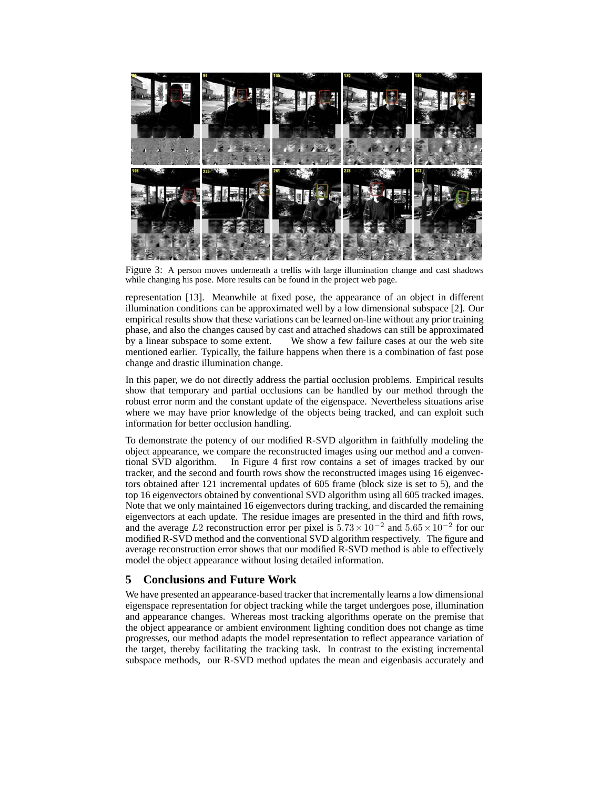

Figure 3: A person moves underneath a trellis with large illumination change and cast shadows while changing his pose. More results can be found in the project web page.

representation [13]. Meanwhile at fixed pose, the appearance of an object in different illumination conditions can be approximated well by a low dimensional subspace [2]. Our empirical results show that these variations can be learned on-line without any prior training phase, and also the changes caused by cast and attached shadows can still be approximated by a linear subspace to some extent. We show a few failure cases at our the web site mentioned earlier. Typically, the failure happens when there is a combination of fast pose change and drastic illumination change.

In this paper, we do not directly address the partial occlusion problems. Empirical results show that temporary and partial occlusions can be handled by our method through the robust error norm and the constant update of the eigenspace. Nevertheless situations arise where we may have prior knowledge of the objects being tracked, and can exploit such information for better occlusion handling.

To demonstrate the potency of our modified R-SVD algorithm in faithfully modeling the object appearance, we compare the reconstructed images using our method and a conventional SVD algorithm. In Figure 4 first row contains a set of images tracked by our tracker, and the second and fourth rows show the reconstructed images using 16 eigenvectors obtained after 121 incremental updates of 605 frame (block size is set to 5), and the top 16 eigenvectors obtained by conventional SVD algorithm using all 605 tracked images. Note that we only maintained 16 eigenvectors during tracking, and discarded the remaining eigenvectors at each update. The residue images are presented in the third and fifth rows, and the average L2 reconstruction error per pixel is  $5.73 \times 10^{-2}$  and  $5.65 \times 10^{-2}$  for our modified R-SVD method and the conventional SVD algorithm respectively. The figure and average reconstruction error shows that our modified R-SVD method is able to effectively model the object appearance without losing detailed information.

# **5 Conclusions and Future Work**

We have presented an appearance-based tracker that incrementally learns a low dimensional eigenspace representation for object tracking while the target undergoes pose, illumination and appearance changes. Whereas most tracking algorithms operate on the premise that the object appearance or ambient environment lighting condition does not change as time progresses, our method adapts the model representation to reflect appearance variation of the target, thereby facilitating the tracking task. In contrast to the existing incremental subspace methods, our R-SVD method updates the mean and eigenbasis accurately and